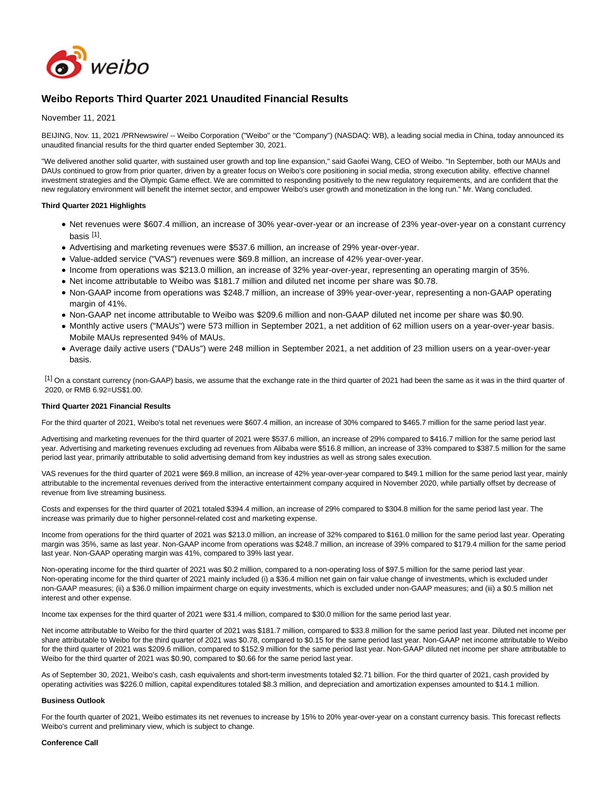

# **Weibo Reports Third Quarter 2021 Unaudited Financial Results**

# November 11, 2021

BEIJING, Nov. 11, 2021 /PRNewswire/ -- Weibo Corporation ("Weibo" or the "Company") (NASDAQ: WB), a leading social media in China, today announced its unaudited financial results for the third quarter ended September 30, 2021.

"We delivered another solid quarter, with sustained user growth and top line expansion," said Gaofei Wang, CEO of Weibo. "In September, both our MAUs and DAUs continued to grow from prior quarter, driven by a greater focus on Weibo's core positioning in social media, strong execution ability, effective channel investment strategies and the Olympic Game effect. We are committed to responding positively to the new regulatory requirements, and are confident that the new regulatory environment will benefit the internet sector, and empower Weibo's user growth and monetization in the long run." Mr. Wang concluded.

# **Third Quarter 2021 Highlights**

- Net revenues were \$607.4 million, an increase of 30% year-over-year or an increase of 23% year-over-year on a constant currency basis <sup>[1]</sup>.
- Advertising and marketing revenues were \$537.6 million, an increase of 29% year-over-year.
- Value-added service ("VAS") revenues were \$69.8 million, an increase of 42% year-over-year.
- Income from operations was \$213.0 million, an increase of 32% year-over-year, representing an operating margin of 35%.
- Net income attributable to Weibo was \$181.7 million and diluted net income per share was \$0.78.
- Non-GAAP income from operations was \$248.7 million, an increase of 39% year-over-year, representing a non-GAAP operating margin of 41%.
- Non-GAAP net income attributable to Weibo was \$209.6 million and non-GAAP diluted net income per share was \$0.90.
- Monthly active users ("MAUs") were 573 million in September 2021, a net addition of 62 million users on a year-over-year basis. Mobile MAUs represented 94% of MAUs.
- Average daily active users ("DAUs") were 248 million in September 2021, a net addition of 23 million users on a year-over-year basis.

 $^{[1]}$  On a constant currency (non-GAAP) basis, we assume that the exchange rate in the third quarter of 2021 had been the same as it was in the third quarter of 2020, or RMB 6.92=US\$1.00.

# **Third Quarter 2021 Financial Results**

For the third quarter of 2021, Weibo's total net revenues were \$607.4 million, an increase of 30% compared to \$465.7 million for the same period last year.

Advertising and marketing revenues for the third quarter of 2021 were \$537.6 million, an increase of 29% compared to \$416.7 million for the same period last year. Advertising and marketing revenues excluding ad revenues from Alibaba were \$516.8 million, an increase of 33% compared to \$387.5 million for the same period last year, primarily attributable to solid advertising demand from key industries as well as strong sales execution.

VAS revenues for the third quarter of 2021 were \$69.8 million, an increase of 42% year-over-year compared to \$49.1 million for the same period last year, mainly attributable to the incremental revenues derived from the interactive entertainment company acquired in November 2020, while partially offset by decrease of revenue from live streaming business.

Costs and expenses for the third quarter of 2021 totaled \$394.4 million, an increase of 29% compared to \$304.8 million for the same period last year. The increase was primarily due to higher personnel-related cost and marketing expense.

Income from operations for the third quarter of 2021 was \$213.0 million, an increase of 32% compared to \$161.0 million for the same period last year. Operating margin was 35%, same as last year. Non-GAAP income from operations was \$248.7 million, an increase of 39% compared to \$179.4 million for the same period last year. Non-GAAP operating margin was 41%, compared to 39% last year.

Non-operating income for the third quarter of 2021 was \$0.2 million, compared to a non-operating loss of \$97.5 million for the same period last year. Non-operating income for the third quarter of 2021 mainly included (i) a \$36.4 million net gain on fair value change of investments, which is excluded under non-GAAP measures; (ii) a \$36.0 million impairment charge on equity investments, which is excluded under non-GAAP measures; and (iii) a \$0.5 million net interest and other expense.

Income tax expenses for the third quarter of 2021 were \$31.4 million, compared to \$30.0 million for the same period last year.

Net income attributable to Weibo for the third quarter of 2021 was \$181.7 million, compared to \$33.8 million for the same period last year. Diluted net income per share attributable to Weibo for the third quarter of 2021 was \$0.78, compared to \$0.15 for the same period last year. Non-GAAP net income attributable to Weibo for the third quarter of 2021 was \$209.6 million, compared to \$152.9 million for the same period last year. Non-GAAP diluted net income per share attributable to Weibo for the third quarter of 2021 was \$0.90, compared to \$0.66 for the same period last year.

As of September 30, 2021, Weibo's cash, cash equivalents and short-term investments totaled \$2.71 billion. For the third quarter of 2021, cash provided by operating activities was \$226.0 million, capital expenditures totaled \$8.3 million, and depreciation and amortization expenses amounted to \$14.1 million.

# **Business Outlook**

For the fourth quarter of 2021, Weibo estimates its net revenues to increase by 15% to 20% year-over-year on a constant currency basis. This forecast reflects Weibo's current and preliminary view, which is subject to change.

#### **Conference Call**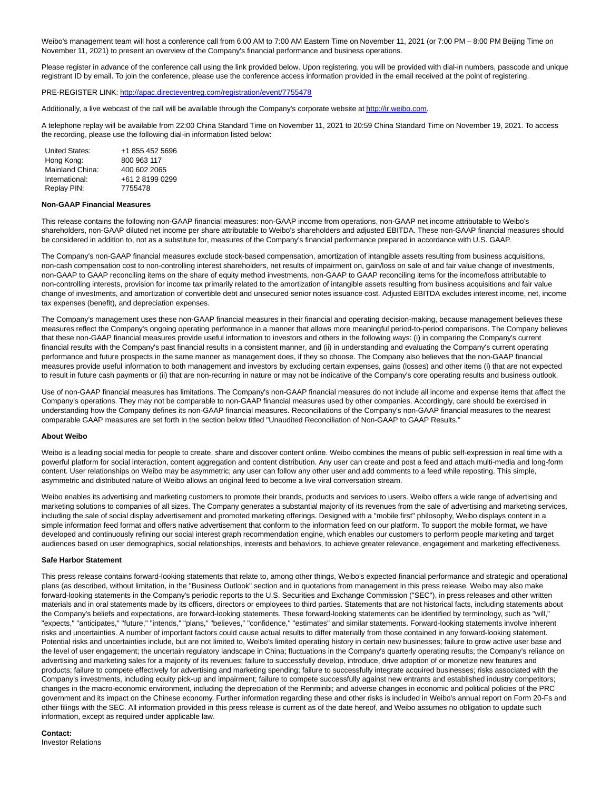Weibo's management team will host a conference call from 6:00 AM to 7:00 AM Eastern Time on November 11, 2021 (or 7:00 PM – 8:00 PM Beijing Time on November 11, 2021) to present an overview of the Company's financial performance and business operations.

Please register in advance of the conference call using the link provided below. Upon registering, you will be provided with dial-in numbers, passcode and unique registrant ID by email. To join the conference, please use the conference access information provided in the email received at the point of registering.

PRE-REGISTER LINK:<http://apac.directeventreg.com/registration/event/7755478>

Additionally, a live webcast of the call will be available through the Company's corporate website a[t http://ir.weibo.com.](http://ir.weibo.com/)

A telephone replay will be available from 22:00 China Standard Time on November 11, 2021 to 20:59 China Standard Time on November 19, 2021. To access the recording, please use the following dial-in information listed below:

| United States:  | +1 855 452 5696 |
|-----------------|-----------------|
| Hong Kong:      | 800 963 117     |
| Mainland China: | 400 602 2065    |
| International:  | +61 2 8199 0299 |
| Replay PIN:     | 7755478         |

#### **Non-GAAP Financial Measures**

This release contains the following non-GAAP financial measures: non-GAAP income from operations, non-GAAP net income attributable to Weibo's shareholders, non-GAAP diluted net income per share attributable to Weibo's shareholders and adjusted EBITDA. These non-GAAP financial measures should be considered in addition to, not as a substitute for, measures of the Company's financial performance prepared in accordance with U.S. GAAP.

The Company's non-GAAP financial measures exclude stock-based compensation, amortization of intangible assets resulting from business acquisitions, non-cash compensation cost to non-controlling interest shareholders, net results of impairment on, gain/loss on sale of and fair value change of investments, non-GAAP to GAAP reconciling items on the share of equity method investments, non-GAAP to GAAP reconciling items for the income/loss attributable to non-controlling interests, provision for income tax primarily related to the amortization of intangible assets resulting from business acquisitions and fair value change of investments, and amortization of convertible debt and unsecured senior notes issuance cost. Adjusted EBITDA excludes interest income, net, income tax expenses (benefit), and depreciation expenses.

The Company's management uses these non-GAAP financial measures in their financial and operating decision-making, because management believes these measures reflect the Company's ongoing operating performance in a manner that allows more meaningful period-to-period comparisons. The Company believes that these non-GAAP financial measures provide useful information to investors and others in the following ways: (i) in comparing the Company's current financial results with the Company's past financial results in a consistent manner, and (ii) in understanding and evaluating the Company's current operating performance and future prospects in the same manner as management does, if they so choose. The Company also believes that the non-GAAP financial measures provide useful information to both management and investors by excluding certain expenses, gains (losses) and other items (i) that are not expected to result in future cash payments or (ii) that are non-recurring in nature or may not be indicative of the Company's core operating results and business outlook.

Use of non-GAAP financial measures has limitations. The Company's non-GAAP financial measures do not include all income and expense items that affect the Company's operations. They may not be comparable to non-GAAP financial measures used by other companies. Accordingly, care should be exercised in understanding how the Company defines its non-GAAP financial measures. Reconciliations of the Company's non-GAAP financial measures to the nearest comparable GAAP measures are set forth in the section below titled "Unaudited Reconciliation of Non-GAAP to GAAP Results."

#### **About Weibo**

Weibo is a leading social media for people to create, share and discover content online. Weibo combines the means of public self-expression in real time with a powerful platform for social interaction, content aggregation and content distribution. Any user can create and post a feed and attach multi-media and long-form content. User relationships on Weibo may be asymmetric; any user can follow any other user and add comments to a feed while reposting. This simple, asymmetric and distributed nature of Weibo allows an original feed to become a live viral conversation stream.

Weibo enables its advertising and marketing customers to promote their brands, products and services to users. Weibo offers a wide range of advertising and marketing solutions to companies of all sizes. The Company generates a substantial majority of its revenues from the sale of advertising and marketing services, including the sale of social display advertisement and promoted marketing offerings. Designed with a "mobile first" philosophy, Weibo displays content in a simple information feed format and offers native advertisement that conform to the information feed on our platform. To support the mobile format, we have developed and continuously refining our social interest graph recommendation engine, which enables our customers to perform people marketing and target audiences based on user demographics, social relationships, interests and behaviors, to achieve greater relevance, engagement and marketing effectiveness.

#### **Safe Harbor Statement**

This press release contains forward-looking statements that relate to, among other things, Weibo's expected financial performance and strategic and operational plans (as described, without limitation, in the "Business Outlook" section and in quotations from management in this press release. Weibo may also make forward-looking statements in the Company's periodic reports to the U.S. Securities and Exchange Commission ("SEC"), in press releases and other written materials and in oral statements made by its officers, directors or employees to third parties. Statements that are not historical facts, including statements about the Company's beliefs and expectations, are forward-looking statements. These forward-looking statements can be identified by terminology, such as "will," "expects," "anticipates," "future," "intends," "plans," "believes," "confidence," "estimates" and similar statements. Forward-looking statements involve inherent risks and uncertainties. A number of important factors could cause actual results to differ materially from those contained in any forward-looking statement. Potential risks and uncertainties include, but are not limited to, Weibo's limited operating history in certain new businesses; failure to grow active user base and the level of user engagement; the uncertain regulatory landscape in China; fluctuations in the Company's quarterly operating results; the Company's reliance on advertising and marketing sales for a majority of its revenues; failure to successfully develop, introduce, drive adoption of or monetize new features and products; failure to compete effectively for advertising and marketing spending; failure to successfully integrate acquired businesses; risks associated with the Company's investments, including equity pick-up and impairment; failure to compete successfully against new entrants and established industry competitors; changes in the macro-economic environment, including the depreciation of the Renminbi; and adverse changes in economic and political policies of the PRC government and its impact on the Chinese economy. Further information regarding these and other risks is included in Weibo's annual report on Form 20-Fs and other filings with the SEC. All information provided in this press release is current as of the date hereof, and Weibo assumes no obligation to update such information, except as required under applicable law.

#### **Contact:**

Investor Relations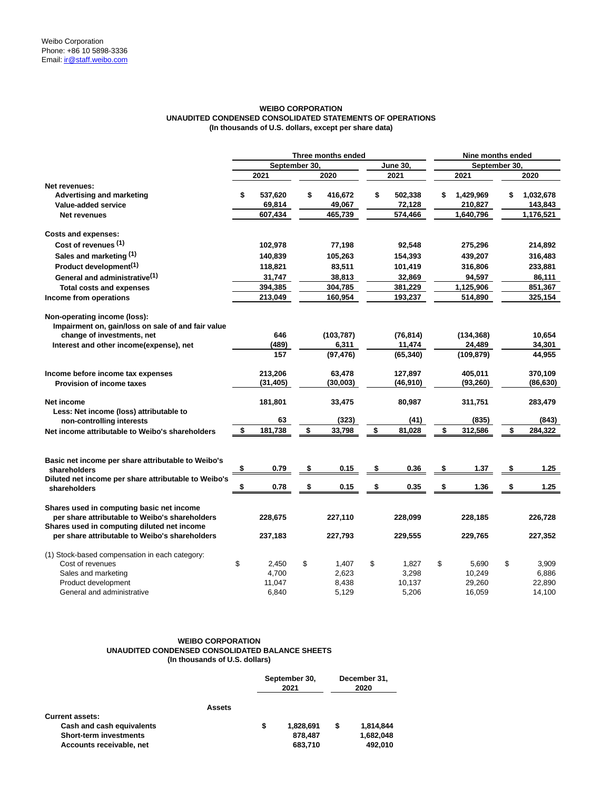# **WEIBO CORPORATION UNAUDITED CONDENSED CONSOLIDATED STATEMENTS OF OPERATIONS (In thousands of U.S. dollars, except per share data)**

|                                                                                                                  | Three months ended |               |    |                 |    |                | Nine months ended |                  |    |                  |  |  |  |
|------------------------------------------------------------------------------------------------------------------|--------------------|---------------|----|-----------------|----|----------------|-------------------|------------------|----|------------------|--|--|--|
|                                                                                                                  |                    | September 30, |    |                 |    | June 30.       |                   | September 30.    |    |                  |  |  |  |
|                                                                                                                  |                    | 2021          |    | 2020            |    | 2021           |                   | 2021             |    | 2020             |  |  |  |
| Net revenues:                                                                                                    |                    |               |    |                 |    |                |                   |                  |    |                  |  |  |  |
| <b>Advertising and marketing</b>                                                                                 | \$                 | 537,620       | \$ | 416,672         | \$ | 502,338        | \$                | 1,429,969        | \$ | 1,032,678        |  |  |  |
| Value-added service                                                                                              |                    | 69,814        |    | 49,067          |    | 72,128         |                   | 210,827          |    | 143,843          |  |  |  |
| Net revenues                                                                                                     |                    | 607,434       |    | 465,739         |    | 574,466        |                   | 1,640,796        |    | 1,176,521        |  |  |  |
| <b>Costs and expenses:</b>                                                                                       |                    |               |    |                 |    |                |                   |                  |    |                  |  |  |  |
| Cost of revenues (1)                                                                                             |                    | 102,978       |    | 77,198          |    | 92,548         |                   | 275,296          |    | 214,892          |  |  |  |
| Sales and marketing (1)                                                                                          |                    | 140,839       |    | 105,263         |    | 154,393        |                   | 439,207          |    | 316,483          |  |  |  |
| Product development <sup>(1)</sup>                                                                               |                    | 118,821       |    | 83,511          |    | 101,419        |                   | 316,806          |    | 233,881          |  |  |  |
| General and administrative <sup>(1)</sup>                                                                        |                    | 31,747        |    | 38,813          |    | 32,869         |                   | 94,597           |    | 86,111           |  |  |  |
| <b>Total costs and expenses</b>                                                                                  |                    | 394,385       |    | 304,785         |    | 381,229        |                   | 1,125,906        |    | 851,367          |  |  |  |
| Income from operations                                                                                           |                    | 213,049       |    | 160,954         |    | 193,237        |                   | 514,890          |    | 325,154          |  |  |  |
| Non-operating income (loss):<br>Impairment on, gain/loss on sale of and fair value<br>change of investments, net |                    | 646           |    | (103, 787)      |    | (76, 814)      |                   | (134, 368)       |    | 10,654           |  |  |  |
| Interest and other income(expense), net                                                                          |                    | (489)         |    | 6,311           |    | 11,474         |                   | 24,489           |    | 34,301           |  |  |  |
|                                                                                                                  |                    | 157           |    | (97, 476)       |    | (65, 340)      |                   | (109, 879)       |    | 44,955           |  |  |  |
| Income before income tax expenses                                                                                |                    | 213,206       |    | 63,478          |    | 127,897        |                   | 405,011          |    | 370,109          |  |  |  |
| <b>Provision of income taxes</b>                                                                                 |                    | (31,405)      |    | (30,003)        |    | (46, 910)      |                   | (93, 260)        |    | (86, 630)        |  |  |  |
| Net income<br>Less: Net income (loss) attributable to                                                            |                    | 181,801<br>63 |    | 33,475<br>(323) |    | 80,987<br>(41) |                   | 311,751<br>(835) |    | 283,479<br>(843) |  |  |  |
| non-controlling interests                                                                                        | \$                 | 181,738       | \$ |                 | \$ |                | \$                | 312,586          | \$ | 284,322          |  |  |  |
| Net income attributable to Weibo's shareholders                                                                  |                    |               |    | 33,798          |    | 81,028         |                   |                  |    |                  |  |  |  |
| Basic net income per share attributable to Weibo's<br>shareholders                                               | \$                 | 0.79          | \$ | 0.15            | \$ | 0.36           | \$                | 1.37             | \$ | 1.25             |  |  |  |
| Diluted net income per share attributable to Weibo's<br>shareholders                                             | \$                 | 0.78          | \$ | 0.15            | \$ | 0.35           | \$                | 1.36             | \$ | 1.25             |  |  |  |
| Shares used in computing basic net income<br>per share attributable to Weibo's shareholders                      |                    | 228,675       |    | 227,110         |    | 228,099        |                   | 228,185          |    | 226,728          |  |  |  |
| Shares used in computing diluted net income<br>per share attributable to Weibo's shareholders                    |                    | 237,183       |    | 227,793         |    | 229,555        |                   | 229,765          |    | 227,352          |  |  |  |
| (1) Stock-based compensation in each category:                                                                   |                    |               |    |                 |    |                |                   |                  |    |                  |  |  |  |
| Cost of revenues                                                                                                 | \$                 | 2,450         | \$ | 1,407           | \$ | 1,827          | \$                | 5,690            | \$ | 3,909            |  |  |  |
| Sales and marketing                                                                                              |                    | 4,700         |    | 2,623           |    | 3,298          |                   | 10,249           |    | 6,886            |  |  |  |
| Product development                                                                                              |                    | 11,047        |    | 8,438           |    | 10,137         |                   | 29,260           |    | 22,890           |  |  |  |
| General and administrative                                                                                       |                    | 6,840         |    | 5,129           |    | 5,206          |                   | 16,059           |    | 14,100           |  |  |  |

# **WEIBO CORPORATION UNAUDITED CONDENSED CONSOLIDATED BALANCE SHEETS (In thousands of U.S. dollars)**

|                               |   | September 30,<br>2021 | December 31,<br>2020 |           |  |  |
|-------------------------------|---|-----------------------|----------------------|-----------|--|--|
| <b>Assets</b>                 |   |                       |                      |           |  |  |
| <b>Current assets:</b>        |   |                       |                      |           |  |  |
| Cash and cash equivalents     | S | 1,828,691             | \$                   | 1,814,844 |  |  |
| <b>Short-term investments</b> |   | 878.487               |                      | 1,682,048 |  |  |
| Accounts receivable, net      |   | 683,710               |                      | 492,010   |  |  |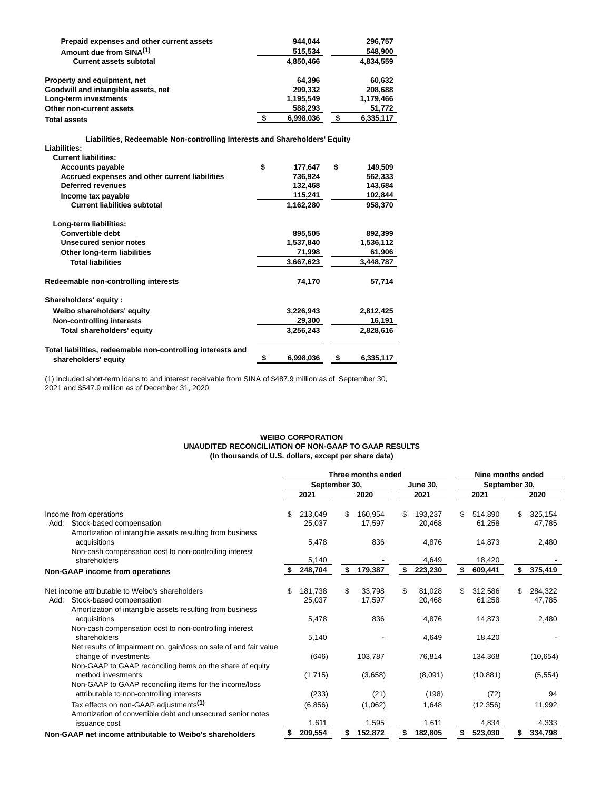| Prepaid expenses and other current assets | 944.044   | 296,757   |
|-------------------------------------------|-----------|-----------|
| Amount due from SINA <sup>(1)</sup>       | 515,534   | 548.900   |
| <b>Current assets subtotal</b>            | 4.850.466 | 4.834.559 |
| Property and equipment, net               | 64.396    | 60,632    |
| Goodwill and intangible assets, net       | 299.332   | 208.688   |
| Long-term investments                     | 1.195.549 | 1.179.466 |
| Other non-current assets                  | 588.293   | 51,772    |
| <b>Total assets</b>                       | 6.998.036 | 6,335,117 |

**Liabilities, Redeemable Non-controlling Interests and Shareholders' Equity** 

| Liabilities:                                                |               |                 |
|-------------------------------------------------------------|---------------|-----------------|
| <b>Current liabilities:</b>                                 |               |                 |
| <b>Accounts payable</b>                                     | \$<br>177,647 | \$<br>149,509   |
| Accrued expenses and other current liabilities              | 736,924       | 562,333         |
| <b>Deferred revenues</b>                                    | 132,468       | 143,684         |
| Income tax payable                                          | 115,241       | 102,844         |
| <b>Current liabilities subtotal</b>                         | 1,162,280     | 958,370         |
| Long-term liabilities:                                      |               |                 |
| <b>Convertible debt</b>                                     | 895,505       | 892,399         |
| Unsecured senior notes                                      | 1,537,840     | 1,536,112       |
| Other long-term liabilities                                 | 71,998        | 61,906          |
| <b>Total liabilities</b>                                    | 3,667,623     | 3,448,787       |
| Redeemable non-controlling interests                        | 74,170        | 57,714          |
| Shareholders' equity:                                       |               |                 |
| Weibo shareholders' equity                                  | 3,226,943     | 2,812,425       |
| <b>Non-controlling interests</b>                            | 29,300        | 16,191          |
| Total shareholders' equity                                  | 3,256,243     | 2,828,616       |
| Total liabilities, redeemable non-controlling interests and |               |                 |
| shareholders' equity                                        | 6,998,036     | \$<br>6,335,117 |

(1) Included short-term loans to and interest receivable from SINA of \$487.9 million as of September 30, 2021 and \$547.9 million as of December 31, 2020.

# **WEIBO CORPORATION UNAUDITED RECONCILIATION OF NON-GAAP TO GAAP RESULTS (In thousands of U.S. dollars, except per share data)**

|                                                                   | Three months ended |          |               |         |                 |         | Nine months ended |           |               |           |  |  |
|-------------------------------------------------------------------|--------------------|----------|---------------|---------|-----------------|---------|-------------------|-----------|---------------|-----------|--|--|
|                                                                   |                    |          | September 30, |         | <b>June 30,</b> |         |                   |           | September 30, |           |  |  |
|                                                                   |                    | 2021     |               | 2020    |                 | 2021    |                   | 2021      |               | 2020      |  |  |
| Income from operations                                            | \$                 | 213,049  | \$            | 160.954 | \$              | 193.237 | \$.               | 514.890   | \$            | 325,154   |  |  |
| Stock-based compensation<br>Add:                                  |                    | 25,037   |               | 17,597  |                 | 20,468  |                   | 61.258    |               | 47.785    |  |  |
| Amortization of intangible assets resulting from business         |                    |          |               |         |                 |         |                   |           |               |           |  |  |
| acquisitions                                                      |                    | 5,478    |               | 836     |                 | 4,876   |                   | 14,873    |               | 2,480     |  |  |
| Non-cash compensation cost to non-controlling interest            |                    |          |               |         |                 |         |                   |           |               |           |  |  |
| shareholders                                                      |                    | 5,140    |               |         |                 | 4,649   |                   | 18,420    |               |           |  |  |
| Non-GAAP income from operations                                   |                    | 248,704  | \$            | 179,387 | \$              | 223,230 |                   | 609,441   | \$            | 375,419   |  |  |
|                                                                   |                    |          |               |         |                 |         |                   |           |               |           |  |  |
| Net income attributable to Weibo's shareholders                   | \$                 | 181.738  | \$            | 33.798  | \$              | 81.028  | \$                | 312,586   | \$            | 284,322   |  |  |
| Stock-based compensation<br>Add:                                  |                    | 25,037   |               | 17,597  |                 | 20,468  |                   | 61,258    |               | 47,785    |  |  |
| Amortization of intangible assets resulting from business         |                    |          |               |         |                 |         |                   |           |               |           |  |  |
| acquisitions                                                      |                    | 5,478    |               | 836     |                 | 4,876   |                   | 14,873    |               | 2,480     |  |  |
| Non-cash compensation cost to non-controlling interest            |                    |          |               |         |                 |         |                   |           |               |           |  |  |
| shareholders                                                      |                    | 5,140    |               |         |                 | 4,649   |                   | 18,420    |               |           |  |  |
| Net results of impairment on, gain/loss on sale of and fair value |                    |          |               |         |                 |         |                   |           |               |           |  |  |
| change of investments                                             |                    | (646)    |               | 103,787 |                 | 76,814  |                   | 134,368   |               | (10, 654) |  |  |
| Non-GAAP to GAAP reconciling items on the share of equity         |                    |          |               |         |                 |         |                   |           |               |           |  |  |
| method investments                                                |                    | (1,715)  |               | (3,658) |                 | (8,091) |                   | (10, 881) |               | (5, 554)  |  |  |
| Non-GAAP to GAAP reconciling items for the income/loss            |                    |          |               |         |                 |         |                   |           |               |           |  |  |
| attributable to non-controlling interests                         |                    | (233)    |               | (21)    |                 | (198)   |                   | (72)      |               | 94        |  |  |
| Tax effects on non-GAAP adjustments <sup>(1)</sup>                |                    | (6, 856) |               | (1,062) |                 | 1,648   |                   | (12, 356) |               | 11,992    |  |  |
| Amortization of convertible debt and unsecured senior notes       |                    |          |               |         |                 |         |                   |           |               |           |  |  |
| issuance cost                                                     |                    | 1,611    |               | 1,595   |                 | 1,611   |                   | 4,834     |               | 4,333     |  |  |
| Non-GAAP net income attributable to Weibo's shareholders          |                    | 209,554  |               | 152,872 |                 | 182,805 |                   | 523,030   |               | 334,798   |  |  |